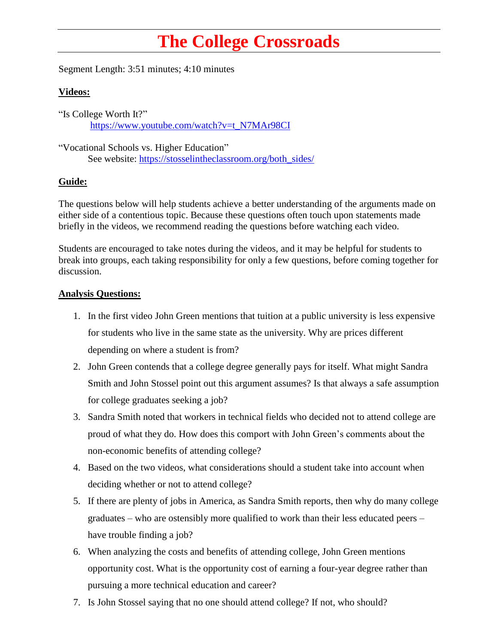## **The College Crossroads**

Segment Length: 3:51 minutes; 4:10 minutes

## **Videos:**

"Is College Worth It?" [https://www.youtube.com/watch?v=t\\_N7MAr98CI](https://www.youtube.com/watch?v=t_N7MAr98CI)

"Vocational Schools vs. Higher Education" See website: [https://stosselintheclassroom.org/both\\_sides/](https://stosselintheclassroom.org/both_sides/)

## **Guide:**

The questions below will help students achieve a better understanding of the arguments made on either side of a contentious topic. Because these questions often touch upon statements made briefly in the videos, we recommend reading the questions before watching each video.

Students are encouraged to take notes during the videos, and it may be helpful for students to break into groups, each taking responsibility for only a few questions, before coming together for discussion.

## **Analysis Questions:**

- 1. In the first video John Green mentions that tuition at a public university is less expensive for students who live in the same state as the university. Why are prices different depending on where a student is from?
- 2. John Green contends that a college degree generally pays for itself. What might Sandra Smith and John Stossel point out this argument assumes? Is that always a safe assumption for college graduates seeking a job?
- 3. Sandra Smith noted that workers in technical fields who decided not to attend college are proud of what they do. How does this comport with John Green's comments about the non-economic benefits of attending college?
- 4. Based on the two videos, what considerations should a student take into account when deciding whether or not to attend college?
- 5. If there are plenty of jobs in America, as Sandra Smith reports, then why do many college graduates – who are ostensibly more qualified to work than their less educated peers – have trouble finding a job?
- 6. When analyzing the costs and benefits of attending college, John Green mentions opportunity cost. What is the opportunity cost of earning a four-year degree rather than pursuing a more technical education and career?
- 7. Is John Stossel saying that no one should attend college? If not, who should?